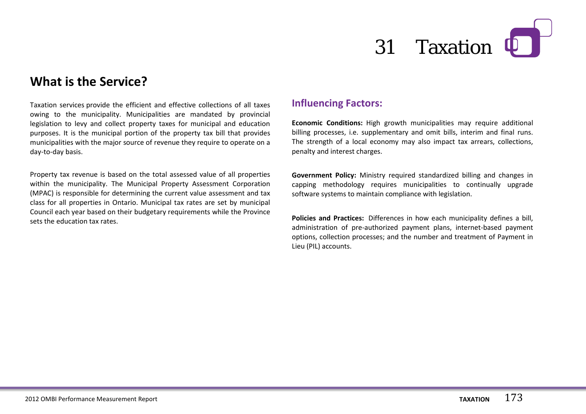# 31 Taxation **[1]**

### **What is the Service?**

Taxation services provide the efficient and effective collections of all taxes owing to the municipality. Municipalities are mandated by provincial legislation to levy and collect property taxes for municipal and education purposes. It is the municipal portion of the property tax bill that provides municipalities with the major source of revenue they require to operate on a day-to-day basis.

Property tax revenue is based on the total assessed value of all properties within the municipality. The Municipal Property Assessment Corporation (MPAC) is responsible for determining the current value assessment and tax class for all properties in Ontario. Municipal tax rates are set by municipal Council each year based on their budgetary requirements while the Province sets the education tax rates.

#### **Influencing Factors:**

**Economic Conditions:** High growth municipalities may require additional billing processes, i.e. supplementary and omit bills, interim and final runs. The strength of a local economy may also impact tax arrears, collections, penalty and interest charges.

**Government Policy:** Ministry required standardized billing and changes in capping methodology requires municipalities to continually upgrade software systems to maintain compliance with legislation.

**Policies and Practices:** Differences in how each municipality defines a bill, administration of pre-authorized payment plans, internet-based payment options, collection processes; and the number and treatment of Payment in Lieu (PIL) accounts.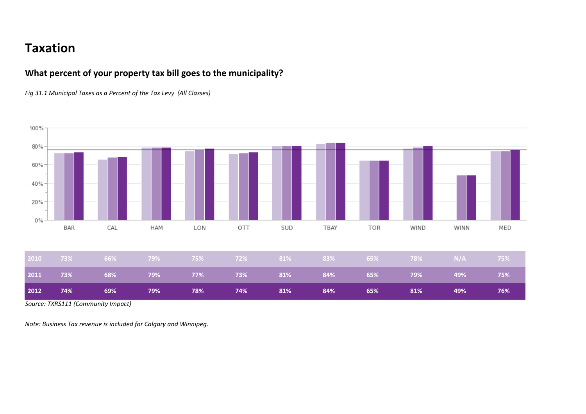## **Taxation**

#### **What percent of your property tax bill goes to the municipality?**

*Fig 31.1 Municipal Taxes as a Percent of the Tax Levy (All Classes)*



*Source: TXRS111 (Community Impact)*

*Note: Business Tax revenue is included for Calgary and Winnipeg.*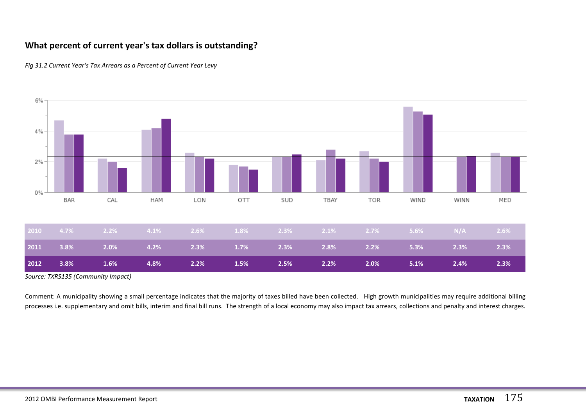#### **What percent of current year's tax dollars is outstanding?**





*Source: TXRS135 (Community Impact)*

Comment: A municipality showing a small percentage indicates that the majority of taxes billed have been collected. High growth municipalities may require additional billing processes i.e. supplementary and omit bills, interim and final bill runs. The strength of a local economy may also impact tax arrears, collections and penalty and interest charges.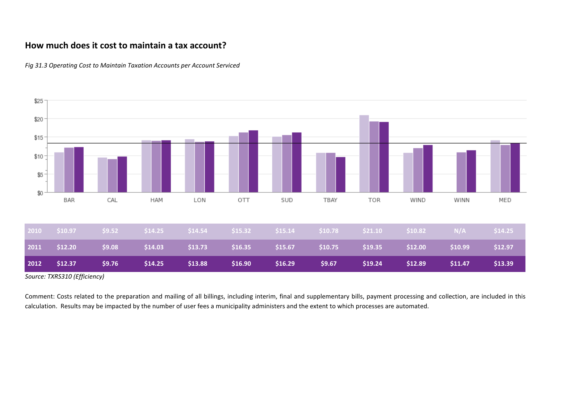#### **How much does it cost to maintain a tax account?**



*Fig 31.3 Operating Cost to Maintain Taxation Accounts per Account Serviced*

*Source: TXRS310 (Efficiency)*

Comment: Costs related to the preparation and mailing of all billings, including interim, final and supplementary bills, payment processing and collection, are included in this calculation. Results may be impacted by the number of user fees a municipality administers and the extent to which processes are automated.